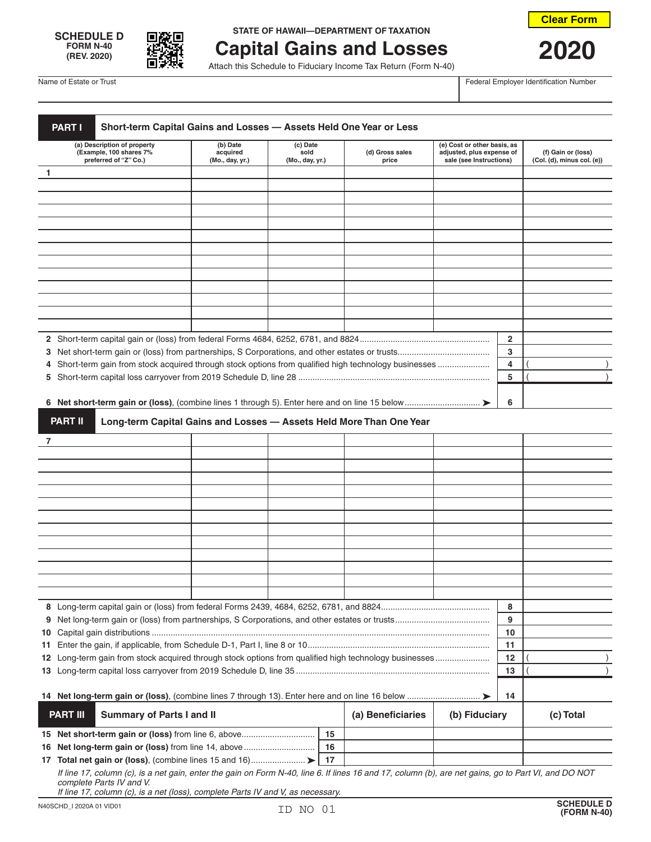



## **SCHEDULE D FILE III** STATE OF HAWAII—DEPARTMENT OF TAXATION

## **(REV. 2020) Capital Gains and Losses 2020 2020 PORM N-40 Capital Gains Capital Gains**

**Clear Form**

Name of Estate or Trust Federal Employer Identification Number

| Short-term Capital Gains and Losses - Assets Held One Year or Less<br><b>PART I</b>                   |                                         |                                     |    |                          |                                                                                     |          |                                                  |  |  |
|-------------------------------------------------------------------------------------------------------|-----------------------------------------|-------------------------------------|----|--------------------------|-------------------------------------------------------------------------------------|----------|--------------------------------------------------|--|--|
| (a) Description of property<br>(Example, 100 shares 7%<br>preferred of "Z" Co.)                       | (b) Date<br>acquired<br>(Mo., day, yr.) | (c) Date<br>sold<br>(Mo., day, yr.) |    | (d) Gross sales<br>price | (e) Cost or other basis, as<br>adjusted, plus expense of<br>sale (see Instructions) |          | (f) Gain or (loss)<br>(Col. (d), minus col. (e)) |  |  |
| 1                                                                                                     |                                         |                                     |    |                          |                                                                                     |          |                                                  |  |  |
|                                                                                                       |                                         |                                     |    |                          |                                                                                     |          |                                                  |  |  |
|                                                                                                       |                                         |                                     |    |                          |                                                                                     |          |                                                  |  |  |
|                                                                                                       |                                         |                                     |    |                          |                                                                                     |          |                                                  |  |  |
|                                                                                                       |                                         |                                     |    |                          |                                                                                     |          |                                                  |  |  |
|                                                                                                       |                                         |                                     |    |                          |                                                                                     |          |                                                  |  |  |
|                                                                                                       |                                         |                                     |    |                          |                                                                                     |          |                                                  |  |  |
|                                                                                                       |                                         |                                     |    |                          |                                                                                     |          |                                                  |  |  |
|                                                                                                       |                                         |                                     |    |                          |                                                                                     |          |                                                  |  |  |
|                                                                                                       |                                         |                                     |    |                          |                                                                                     |          |                                                  |  |  |
|                                                                                                       |                                         |                                     |    |                          |                                                                                     |          |                                                  |  |  |
|                                                                                                       |                                         |                                     |    |                          |                                                                                     |          |                                                  |  |  |
|                                                                                                       |                                         |                                     |    |                          |                                                                                     | 2        |                                                  |  |  |
|                                                                                                       |                                         |                                     |    |                          |                                                                                     | 3<br>4   |                                                  |  |  |
| 4 Short-term gain from stock acquired through stock options from qualified high technology businesses |                                         |                                     |    |                          | 5                                                                                   |          |                                                  |  |  |
|                                                                                                       |                                         |                                     |    |                          |                                                                                     |          |                                                  |  |  |
|                                                                                                       |                                         |                                     |    |                          |                                                                                     | 6        |                                                  |  |  |
| <b>PART II</b><br>Long-term Capital Gains and Losses - Assets Held More Than One Year                 |                                         |                                     |    |                          |                                                                                     |          |                                                  |  |  |
| 7                                                                                                     |                                         |                                     |    |                          |                                                                                     |          |                                                  |  |  |
|                                                                                                       |                                         |                                     |    |                          |                                                                                     |          |                                                  |  |  |
|                                                                                                       |                                         |                                     |    |                          |                                                                                     |          |                                                  |  |  |
|                                                                                                       |                                         |                                     |    |                          |                                                                                     |          |                                                  |  |  |
|                                                                                                       |                                         |                                     |    |                          |                                                                                     |          |                                                  |  |  |
|                                                                                                       |                                         |                                     |    |                          |                                                                                     |          |                                                  |  |  |
|                                                                                                       |                                         |                                     |    |                          |                                                                                     |          |                                                  |  |  |
|                                                                                                       |                                         |                                     |    |                          |                                                                                     |          |                                                  |  |  |
|                                                                                                       |                                         |                                     |    |                          |                                                                                     |          |                                                  |  |  |
|                                                                                                       |                                         |                                     |    |                          |                                                                                     |          |                                                  |  |  |
|                                                                                                       |                                         |                                     |    |                          |                                                                                     |          |                                                  |  |  |
|                                                                                                       |                                         |                                     |    |                          |                                                                                     |          |                                                  |  |  |
|                                                                                                       |                                         |                                     |    |                          |                                                                                     | 8        |                                                  |  |  |
|                                                                                                       |                                         |                                     |    |                          |                                                                                     | 9        |                                                  |  |  |
|                                                                                                       |                                         |                                     |    |                          |                                                                                     | 10       |                                                  |  |  |
|                                                                                                       |                                         |                                     |    |                          |                                                                                     | 11       |                                                  |  |  |
| 12 Long-term gain from stock acquired through stock options from qualified high technology businesses |                                         |                                     |    |                          |                                                                                     | 12<br>13 |                                                  |  |  |
|                                                                                                       |                                         |                                     |    |                          |                                                                                     |          |                                                  |  |  |
|                                                                                                       |                                         |                                     |    |                          | 14                                                                                  |          |                                                  |  |  |
| <b>PART III</b><br><b>Summary of Parts I and II</b>                                                   |                                         |                                     |    | (a) Beneficiaries        | (b) Fiduciary                                                                       |          | (c) Total                                        |  |  |
| 15 Net short-term gain or (loss) from line 6, above                                                   |                                         |                                     | 15 |                          |                                                                                     |          |                                                  |  |  |
| 16 Net long-term gain or (loss) from line 14, above                                                   |                                         |                                     | 16 |                          |                                                                                     |          |                                                  |  |  |

**17 Total net gain or (loss)**, (combine lines 15 and 16)....................... ä **17** *If line 17, column (c), is a net gain, enter the gain on Form N-40, line 6. If lines 16 and 17, column (b), are net gains, go to Part VI, and DO NOT complete Parts IV and V.*

*If line 17, column (c), is a net (loss), complete Parts IV and V, as necessary.*